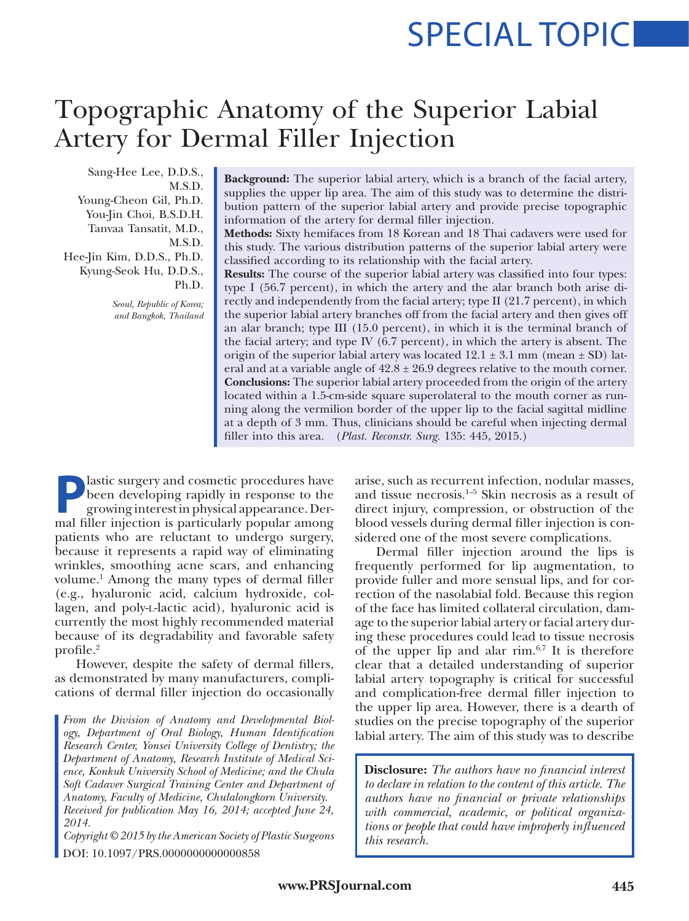# Special Topic

# Topographic Anatomy of the Superior Labial Artery for Dermal Filler Injection

Sang-Hee Lee, D.D.S., M.S.D. Young-Cheon Gil, Ph.D. You-Jin Choi, B.S.D.H. Tanvaa Tansatit, M.D., M.S.D. Hee-Jin Kim, D.D.S., Ph.D. Kyung-Seok Hu, D.D.S., Ph.D.

> *Seoul, Republic of Korea; and Bangkok, Thailand*

**Background:** The superior labial artery, which is a branch of the facial artery, supplies the upper lip area. The aim of this study was to determine the distribution pattern of the superior labial artery and provide precise topographic information of the artery for dermal filler injection.

**Methods:** Sixty hemifaces from 18 Korean and 18 Thai cadavers were used for this study. The various distribution patterns of the superior labial artery were classified according to its relationship with the facial artery.

**Results:** The course of the superior labial artery was classified into four types: type I (56.7 percent), in which the artery and the alar branch both arise directly and independently from the facial artery; type II (21.7 percent), in which the superior labial artery branches off from the facial artery and then gives off an alar branch; type III (15.0 percent), in which it is the terminal branch of the facial artery; and type IV (6.7 percent), in which the artery is absent. The origin of the superior labial artery was located  $12.1 \pm 3.1$  mm (mean  $\pm$  SD) lateral and at a variable angle of  $42.8 \pm 26.9$  degrees relative to the mouth corner. **Conclusions:** The superior labial artery proceeded from the origin of the artery located within a 1.5-cm-side square superolateral to the mouth corner as running along the vermilion border of the upper lip to the facial sagittal midline at a depth of 3 mm. Thus, clinicians should be careful when injecting dermal filler into this area. (*Plast. Reconstr. Surg.* 135: 445, 2015.)

**P**lastic surgery and cosmetic procedures have<br>been developing rapidly in response to the<br>growing interest in physical appearance. Der-<br>mal filler injection is particularly popular among been developing rapidly in response to the growing interest in physical appearance. Dermal filler injection is particularly popular among patients who are reluctant to undergo surgery, because it represents a rapid way of eliminating wrinkles, smoothing acne scars, and enhancing volume.1 Among the many types of dermal filler (e.g., hyaluronic acid, calcium hydroxide, collagen, and poly-l-lactic acid), hyaluronic acid is currently the most highly recommended material because of its degradability and favorable safety profile.2

However, despite the safety of dermal fillers, as demonstrated by many manufacturers, complications of dermal filler injection do occasionally

*Copyright* © 2015 by the American Society of Plastic Surgeons  $\left| \begin{array}{c} \hbox{thus} \ \hbox{if} \ \hbox{if} \ \hbox{if} \ \hbox{if} \ \hbox{if} \ \hbox{if} \ \hbox{if} \ \hbox{if} \ \hbox{if} \ \hbox{if} \ \hbox{if} \ \hbox{if} \ \hbox{if} \ \hbox{if} \ \hbox{if} \ \hbox{if} \ \hbox{if} \ \hbox{if} \ \hbox{if} \ \hbox{if} \$ DOI: 10.1097/PRS.0000000000000858

arise, such as recurrent infection, nodular masses, and tissue necrosis.1–5 Skin necrosis as a result of direct injury, compression, or obstruction of the blood vessels during dermal filler injection is considered one of the most severe complications.

Dermal filler injection around the lips is frequently performed for lip augmentation, to provide fuller and more sensual lips, and for correction of the nasolabial fold. Because this region of the face has limited collateral circulation, damage to the superior labial artery or facial artery during these procedures could lead to tissue necrosis of the upper lip and alar rim. $6,7$  It is therefore clear that a detailed understanding of superior labial artery topography is critical for successful and complication-free dermal filler injection to the upper lip area. However, there is a dearth of studies on the precise topography of the superior labial artery. The aim of this study was to describe

**Disclosure:** *The authors have no financial interest to declare in relation to the content of this article. The authors have no financial or private relationships with commercial, academic, or political organizations or people that could have improperly influenced* 

*From the Division of Anatomy and Developmental Biology, Department of Oral Biology, Human Identification Research Center, Yonsei University College of Dentistry; the Department of Anatomy, Research Institute of Medical Science, Konkuk University School of Medicine; and the Chula Soft Cadaver Surgical Training Center and Department of Anatomy, Faculty of Medicine, Chulalongkorn University. Received for publication May 16, 2014; accepted June 24, 2014.*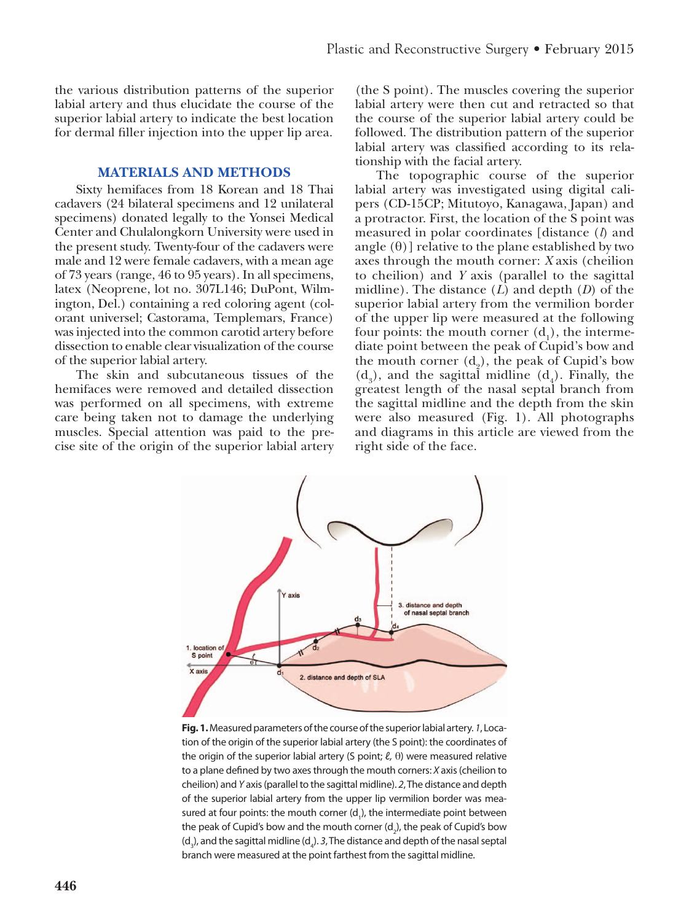the various distribution patterns of the superior labial artery and thus elucidate the course of the superior labial artery to indicate the best location for dermal filler injection into the upper lip area.

## **MATERIALS AND METHODS**

Sixty hemifaces from 18 Korean and 18 Thai cadavers (24 bilateral specimens and 12 unilateral specimens) donated legally to the Yonsei Medical Center and Chulalongkorn University were used in the present study. Twenty-four of the cadavers were male and 12 were female cadavers, with a mean age of 73 years (range, 46 to 95 years). In all specimens, latex (Neoprene, lot no. 307L146; DuPont, Wilmington, Del.) containing a red coloring agent (colorant universel; Castorama, Templemars, France) was injected into the common carotid artery before dissection to enable clear visualization of the course of the superior labial artery.

The skin and subcutaneous tissues of the hemifaces were removed and detailed dissection was performed on all specimens, with extreme care being taken not to damage the underlying muscles. Special attention was paid to the precise site of the origin of the superior labial artery

(the S point). The muscles covering the superior labial artery were then cut and retracted so that the course of the superior labial artery could be followed. The distribution pattern of the superior labial artery was classified according to its relationship with the facial artery.

The topographic course of the superior labial artery was investigated using digital calipers (CD-15CP; Mitutoyo, Kanagawa, Japan) and a protractor. First, the location of the S point was measured in polar coordinates [distance (*l*) and angle  $(\theta)$ ] relative to the plane established by two axes through the mouth corner: *X* axis (cheilion to cheilion) and *Y* axis (parallel to the sagittal midline). The distance (*L*) and depth (*D*) of the superior labial artery from the vermilion border of the upper lip were measured at the following four points: the mouth corner  $(d_1)$ , the intermediate point between the peak of Cupid's bow and the mouth corner  $(d_2)$ , the peak of Cupid's bow  $(d_3)$ , and the sagittal midline  $(d_4)$ . Finally, the greatest length of the nasal septal branch from the sagittal midline and the depth from the skin were also measured (Fig. 1). All photographs and diagrams in this article are viewed from the right side of the face.



**Fig. 1.** Measured parameters of the course of the superior labial artery. *1*, Location of the origin of the superior labial artery (the S point): the coordinates of the origin of the superior labial artery (S point; *ℓ,* θ) were measured relative to a plane defined by two axes through the mouth corners: *X* axis (cheilion to cheilion) and *Y* axis (parallel to the sagittal midline). *2*, The distance and depth of the superior labial artery from the upper lip vermilion border was measured at four points: the mouth corner  $(d_1)$ , the intermediate point between the peak of Cupid's bow and the mouth corner (d<sub>2</sub>), the peak of Cupid's bow (d<sub>3</sub>), and the sagittal midline (d<sub>4</sub>). 3, The distance and depth of the nasal septal branch were measured at the point farthest from the sagittal midline.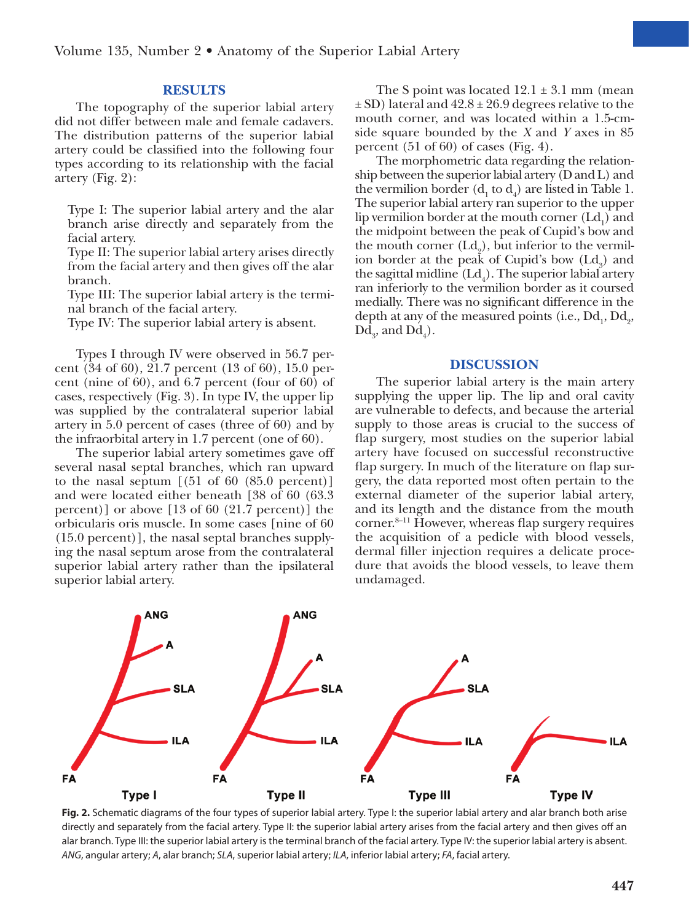## **RESULTS**

The topography of the superior labial artery did not differ between male and female cadavers. The distribution patterns of the superior labial artery could be classified into the following four types according to its relationship with the facial artery (Fig. 2):

Type I: The superior labial artery and the alar branch arise directly and separately from the facial artery.

Type II: The superior labial artery arises directly from the facial artery and then gives off the alar branch.

Type III: The superior labial artery is the terminal branch of the facial artery.

Type IV: The superior labial artery is absent.

Types I through IV were observed in 56.7 percent (34 of 60), 21.7 percent (13 of 60), 15.0 percent (nine of 60), and 6.7 percent (four of 60) of cases, respectively (Fig. 3). In type IV, the upper lip was supplied by the contralateral superior labial artery in 5.0 percent of cases (three of 60) and by the infraorbital artery in 1.7 percent (one of 60).

The superior labial artery sometimes gave off several nasal septal branches, which ran upward to the nasal septum  $(51 \text{ of } 60 \text{ (85.0 percent)})$ and were located either beneath [38 of 60 (63.3 percent)] or above [13 of 60 (21.7 percent)] the orbicularis oris muscle. In some cases [nine of 60 (15.0 percent)], the nasal septal branches supplying the nasal septum arose from the contralateral superior labial artery rather than the ipsilateral superior labial artery.

The S point was located  $12.1 \pm 3.1$  mm (mean  $\pm$  SD) lateral and 42.8  $\pm$  26.9 degrees relative to the mouth corner, and was located within a 1.5-cmside square bounded by the *X* and *Y* axes in 85 percent  $(51 \text{ of } 60)$  of cases (Fig. 4).

The morphometric data regarding the relationship between the superior labial artery (D and L) and the vermilion border  $(d_1 \text{ to } d_4)$  are listed in Table 1. The superior labial artery ran superior to the upper lip vermilion border at the mouth corner  $(Ld_1)$  and the midpoint between the peak of Cupid's bow and the mouth corner  $(Ld_2)$ , but inferior to the vermilion border at the peak of Cupid's bow  $(Ld_3)$  and the sagittal midline  $(Ld_4)$ . The superior labial artery ran inferiorly to the vermilion border as it coursed medially. There was no significant difference in the depth at any of the measured points (i.e.,  $Dd_1$ ,  $Dd_2$ ,  $\text{Dd}_3$ , and  $\text{Dd}_4$ ).

#### **DISCUSSION**

The superior labial artery is the main artery supplying the upper lip. The lip and oral cavity are vulnerable to defects, and because the arterial supply to those areas is crucial to the success of flap surgery, most studies on the superior labial artery have focused on successful reconstructive flap surgery. In much of the literature on flap surgery, the data reported most often pertain to the external diameter of the superior labial artery, and its length and the distance from the mouth corner. $8-11$  However, whereas flap surgery requires the acquisition of a pedicle with blood vessels, dermal filler injection requires a delicate procedure that avoids the blood vessels, to leave them undamaged.



**Fig. 2.** Schematic diagrams of the four types of superior labial artery. Type I: the superior labial artery and alar branch both arise directly and separately from the facial artery. Type II: the superior labial artery arises from the facial artery and then gives off an alar branch. Type III: the superior labial artery is the terminal branch of the facial artery. Type IV: the superior labial artery is absent. *ANG*, angular artery; *A*, alar branch; *SLA*, superior labial artery; *ILA*, inferior labial artery; *FA*, facial artery.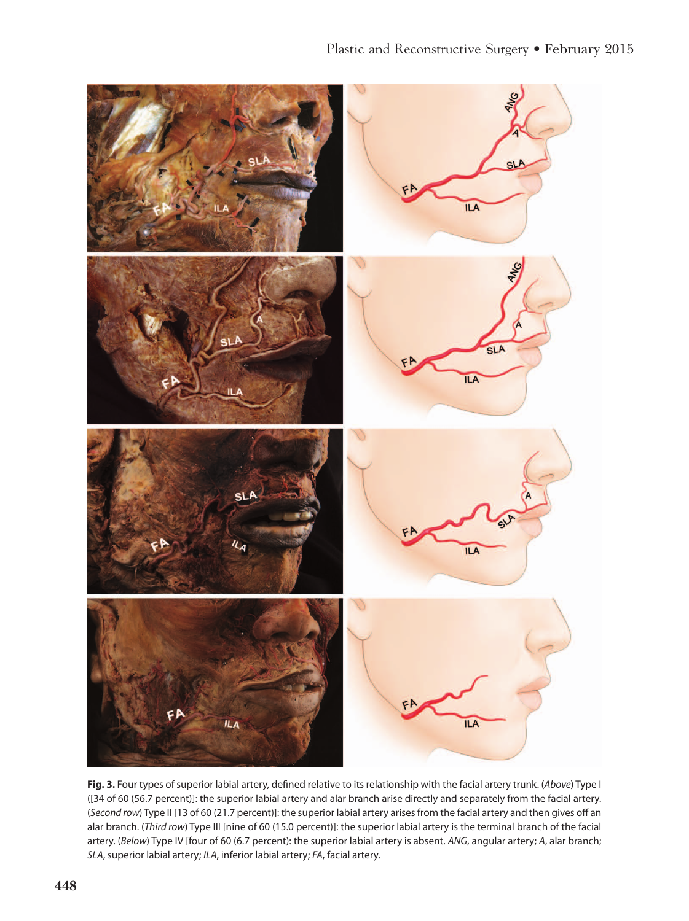

**Fig. 3.** Four types of superior labial artery, defined relative to its relationship with the facial artery trunk. (*Above*) Type I ([34 of 60 (56.7 percent)]: the superior labial artery and alar branch arise directly and separately from the facial artery. (*Second row*) Type II [13 of 60 (21.7 percent)]: the superior labial artery arises from the facial artery and then gives off an alar branch. (*Third row*) Type III [nine of 60 (15.0 percent)]: the superior labial artery is the terminal branch of the facial artery. (*Below*) Type IV [four of 60 (6.7 percent): the superior labial artery is absent. *ANG*, angular artery; *A*, alar branch; *SLA*, superior labial artery; *ILA*, inferior labial artery; *FA*, facial artery.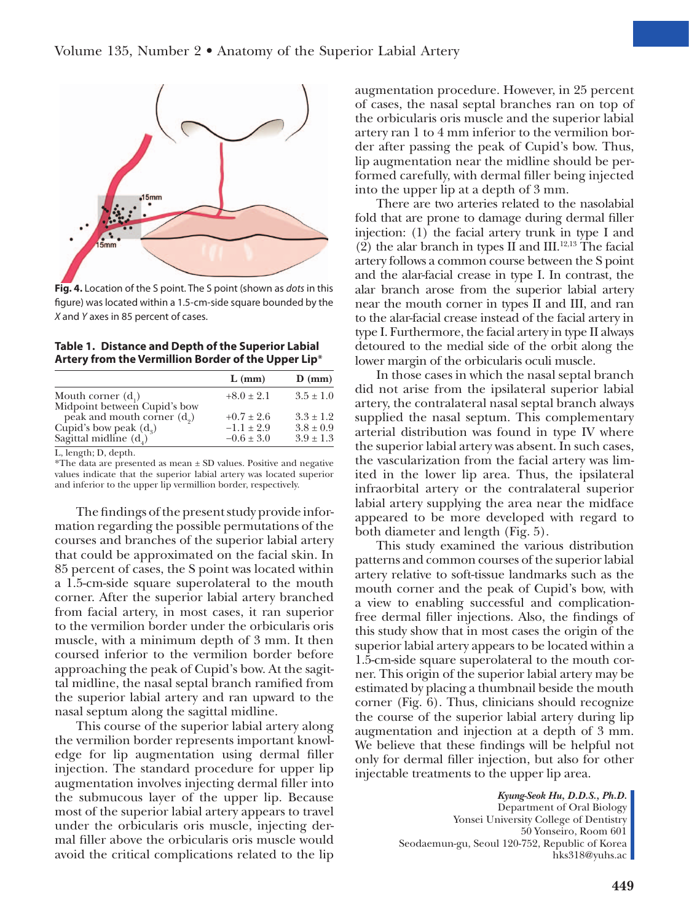

**Fig. 4.** Location of the S point. The S point (shown as *dots* in this figure) was located within a 1.5-cm-side square bounded by the *X* and *Y* axes in 85 percent of cases.

**Table 1. Distance and Depth of the Superior Labial Artery from the Vermillion Border of the Upper Lip**\*

|                               | $L$ (mm)       | $\bf{D}$ (mm) |
|-------------------------------|----------------|---------------|
| Mouth corner $(d_1)$          | $+8.0 \pm 2.1$ | $3.5 \pm 1.0$ |
| Midpoint between Cupid's bow  |                |               |
| peak and mouth corner $(d_0)$ | $+0.7 \pm 2.6$ | $3.3 \pm 1.2$ |
| Cupid's bow peak $(d_2)$      | $-1.1 \pm 2.9$ | $3.8 \pm 0.9$ |
| Sagittal midline $(d_4)$      | $-0.6 \pm 3.0$ | $3.9 \pm 1.3$ |
| $I$ length D denth            |                |               |

length; D, depth.

\*The data are presented as mean  $\pm$  SD values. Positive and negative values indicate that the superior labial artery was located superior and inferior to the upper lip vermillion border, respectively.

The findings of the present study provide information regarding the possible permutations of the courses and branches of the superior labial artery that could be approximated on the facial skin. In 85 percent of cases, the S point was located within a 1.5-cm-side square superolateral to the mouth corner. After the superior labial artery branched from facial artery, in most cases, it ran superior to the vermilion border under the orbicularis oris muscle, with a minimum depth of 3 mm. It then coursed inferior to the vermilion border before approaching the peak of Cupid's bow. At the sagittal midline, the nasal septal branch ramified from the superior labial artery and ran upward to the nasal septum along the sagittal midline.

This course of the superior labial artery along the vermilion border represents important knowledge for lip augmentation using dermal filler injection. The standard procedure for upper lip augmentation involves injecting dermal filler into the submucous layer of the upper lip. Because most of the superior labial artery appears to travel under the orbicularis oris muscle, injecting dermal filler above the orbicularis oris muscle would avoid the critical complications related to the lip augmentation procedure. However, in 25 percent of cases, the nasal septal branches ran on top of the orbicularis oris muscle and the superior labial artery ran 1 to 4 mm inferior to the vermilion border after passing the peak of Cupid's bow. Thus, lip augmentation near the midline should be performed carefully, with dermal filler being injected into the upper lip at a depth of 3 mm.

There are two arteries related to the nasolabial fold that are prone to damage during dermal filler injection: (1) the facial artery trunk in type I and (2) the alar branch in types II and III.<sup>12,13</sup> The facial artery follows a common course between the S point and the alar-facial crease in type I. In contrast, the alar branch arose from the superior labial artery near the mouth corner in types II and III, and ran to the alar-facial crease instead of the facial artery in type I. Furthermore, the facial artery in type II always detoured to the medial side of the orbit along the lower margin of the orbicularis oculi muscle.

In those cases in which the nasal septal branch did not arise from the ipsilateral superior labial artery, the contralateral nasal septal branch always supplied the nasal septum. This complementary arterial distribution was found in type IV where the superior labial artery was absent. In such cases, the vascularization from the facial artery was limited in the lower lip area. Thus, the ipsilateral infraorbital artery or the contralateral superior labial artery supplying the area near the midface appeared to be more developed with regard to both diameter and length (Fig. 5).

This study examined the various distribution patterns and common courses of the superior labial artery relative to soft-tissue landmarks such as the mouth corner and the peak of Cupid's bow, with a view to enabling successful and complicationfree dermal filler injections. Also, the findings of this study show that in most cases the origin of the superior labial artery appears to be located within a 1.5-cm-side square superolateral to the mouth corner. This origin of the superior labial artery may be estimated by placing a thumbnail beside the mouth corner (Fig. 6). Thus, clinicians should recognize the course of the superior labial artery during lip augmentation and injection at a depth of 3 mm. We believe that these findings will be helpful not only for dermal filler injection, but also for other injectable treatments to the upper lip area.

> *Kyung-Seok Hu, D.D.S., Ph.D.* Department of Oral Biology Yonsei University College of Dentistry 50 Yonseiro, Room 601 Seodaemun-gu, Seoul 120-752, Republic of Korea [hks318@yuhs.ac](mailto:hks318@yuhs.ac)